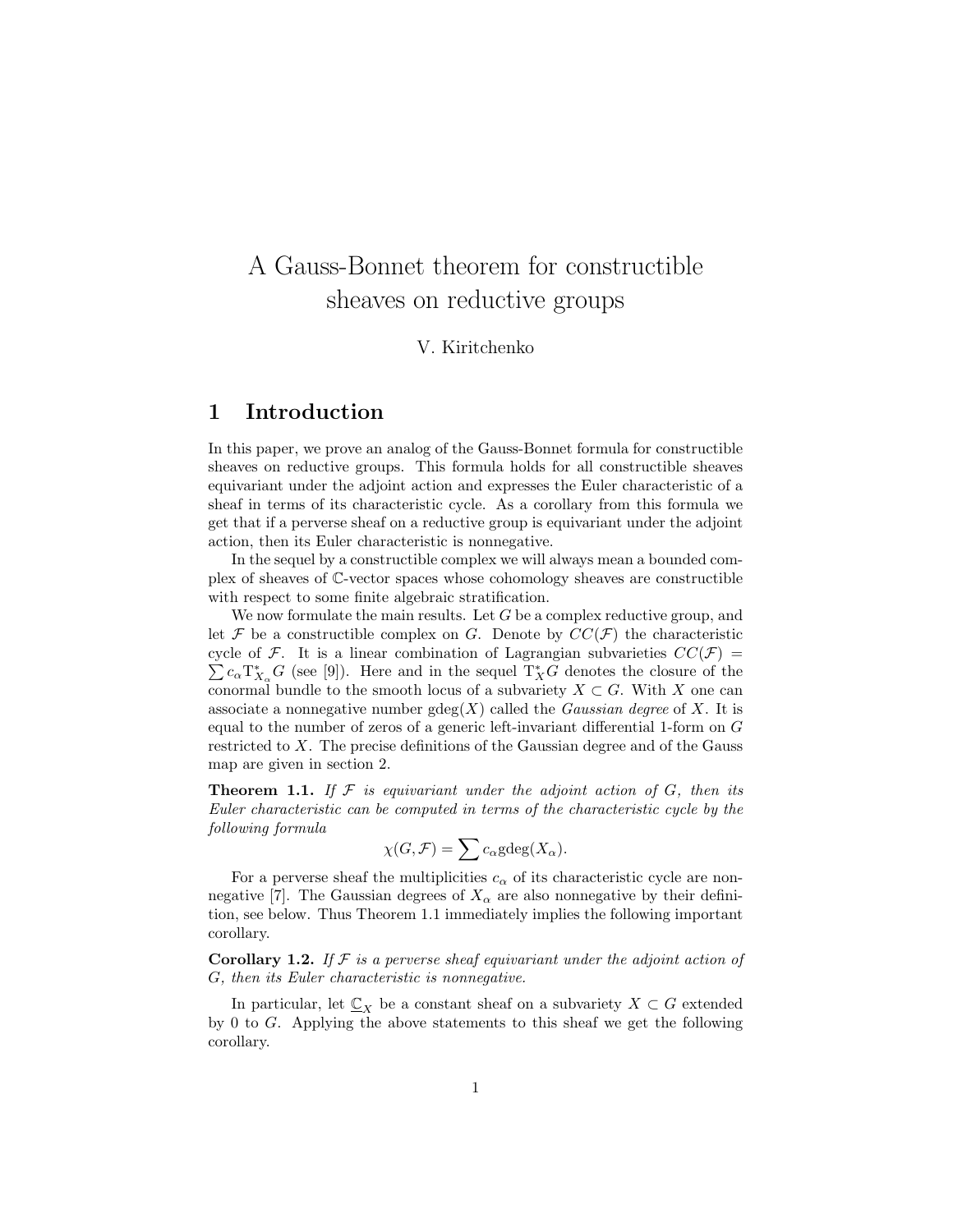# A Gauss-Bonnet theorem for constructible sheaves on reductive groups

V. Kiritchenko

## 1 Introduction

In this paper, we prove an analog of the Gauss-Bonnet formula for constructible sheaves on reductive groups. This formula holds for all constructible sheaves equivariant under the adjoint action and expresses the Euler characteristic of a sheaf in terms of its characteristic cycle. As a corollary from this formula we get that if a perverse sheaf on a reductive group is equivariant under the adjoint action, then its Euler characteristic is nonnegative.

In the sequel by a constructible complex we will always mean a bounded complex of sheaves of C-vector spaces whose cohomology sheaves are constructible with respect to some finite algebraic stratification.

We now formulate the main results. Let  $G$  be a complex reductive group, and let  $\mathcal F$  be a constructible complex on G. Denote by  $CC(\mathcal F)$  the characteristic cycle of F. It is a linear combination of Lagrangian subvarieties  $CC(\mathcal{F}) =$  $c_{\alpha}T_{X_{\alpha}}^{*}G$  (see [9]). Here and in the sequel  $T_{X}^{*}G$  denotes the closure of the conormal bundle to the smooth locus of a subvariety  $X \subset G$ . With X one can associate a nonnegative number  $gdeg(X)$  called the *Gaussian degree* of X. It is equal to the number of zeros of a generic left-invariant differential 1-form on G restricted to X. The precise definitions of the Gaussian degree and of the Gauss map are given in section 2.

**Theorem 1.1.** If  $\mathcal F$  is equivariant under the adjoint action of  $G$ , then its Euler characteristic can be computed in terms of the characteristic cycle by the following formula

$$
\chi(G, \mathcal{F}) = \sum c_{\alpha} \text{gdeg}(X_{\alpha}).
$$

For a perverse sheaf the multiplicities  $c_{\alpha}$  of its characteristic cycle are nonnegative [7]. The Gaussian degrees of  $X_{\alpha}$  are also nonnegative by their definition, see below. Thus Theorem 1.1 immediately implies the following important corollary.

**Corollary 1.2.** If  $\mathcal F$  is a perverse sheaf equivariant under the adjoint action of G, then its Euler characteristic is nonnegative.

In particular, let  $\mathbb{C}_X$  be a constant sheaf on a subvariety  $X \subset G$  extended by 0 to G. Applying the above statements to this sheaf we get the following corollary.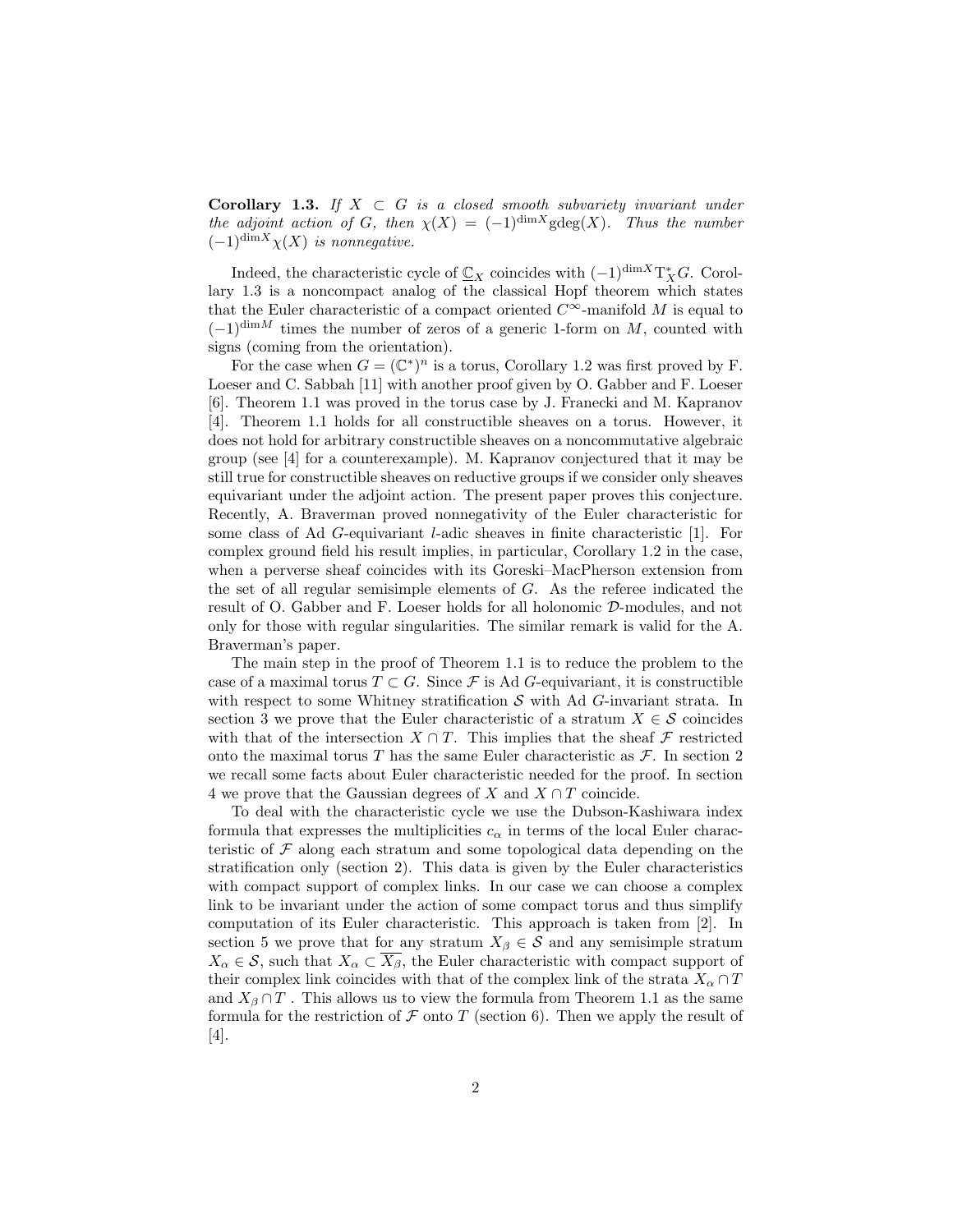**Corollary 1.3.** If  $X \subset G$  is a closed smooth subvariety invariant under the adjoint action of G, then  $\chi(X) = (-1)^{\dim X}$ gdeg $(X)$ . Thus the number  $(-1)^{\dim X}\chi(X)$  is nonnegative.

Indeed, the characteristic cycle of  $\underline{\mathbb{C}}_X$  coincides with  $(-1)^{\dim X}T^*_XG$ . Corollary 1.3 is a noncompact analog of the classical Hopf theorem which states that the Euler characteristic of a compact oriented  $C^{\infty}$ -manifold M is equal to  $(-1)^{\dim M}$  times the number of zeros of a generic 1-form on M, counted with signs (coming from the orientation).

For the case when  $G = (\mathbb{C}^*)^n$  is a torus, Corollary 1.2 was first proved by F. Loeser and C. Sabbah [11] with another proof given by O. Gabber and F. Loeser [6]. Theorem 1.1 was proved in the torus case by J. Franecki and M. Kapranov [4]. Theorem 1.1 holds for all constructible sheaves on a torus. However, it does not hold for arbitrary constructible sheaves on a noncommutative algebraic group (see [4] for a counterexample). M. Kapranov conjectured that it may be still true for constructible sheaves on reductive groups if we consider only sheaves equivariant under the adjoint action. The present paper proves this conjecture. Recently, A. Braverman proved nonnegativity of the Euler characteristic for some class of Ad G-equivariant l-adic sheaves in finite characteristic [1]. For complex ground field his result implies, in particular, Corollary 1.2 in the case, when a perverse sheaf coincides with its Goreski–MacPherson extension from the set of all regular semisimple elements of G. As the referee indicated the result of O. Gabber and F. Loeser holds for all holonomic D-modules, and not only for those with regular singularities. The similar remark is valid for the A. Braverman's paper.

The main step in the proof of Theorem 1.1 is to reduce the problem to the case of a maximal torus  $T \subset G$ . Since  $\mathcal F$  is Ad G-equivariant, it is constructible with respect to some Whitney stratification  $S$  with Ad G-invariant strata. In section 3 we prove that the Euler characteristic of a stratum  $X \in \mathcal{S}$  coincides with that of the intersection  $X \cap T$ . This implies that the sheaf  $\mathcal F$  restricted onto the maximal torus T has the same Euler characteristic as  $\mathcal{F}$ . In section 2 we recall some facts about Euler characteristic needed for the proof. In section 4 we prove that the Gaussian degrees of X and  $X \cap T$  coincide.

To deal with the characteristic cycle we use the Dubson-Kashiwara index formula that expresses the multiplicities  $c_{\alpha}$  in terms of the local Euler characteristic of  $\mathcal F$  along each stratum and some topological data depending on the stratification only (section 2). This data is given by the Euler characteristics with compact support of complex links. In our case we can choose a complex link to be invariant under the action of some compact torus and thus simplify computation of its Euler characteristic. This approach is taken from [2]. In section 5 we prove that for any stratum  $X_{\beta} \in \mathcal{S}$  and any semisimple stratum  $X_{\alpha} \in \mathcal{S}$ , such that  $X_{\alpha} \subset \overline{X_{\beta}}$ , the Euler characteristic with compact support of their complex link coincides with that of the complex link of the strata  $X_{\alpha} \cap T$ and  $X_{\beta} \cap T$ . This allows us to view the formula from Theorem 1.1 as the same formula for the restriction of  $\mathcal F$  onto  $T$  (section 6). Then we apply the result of [4].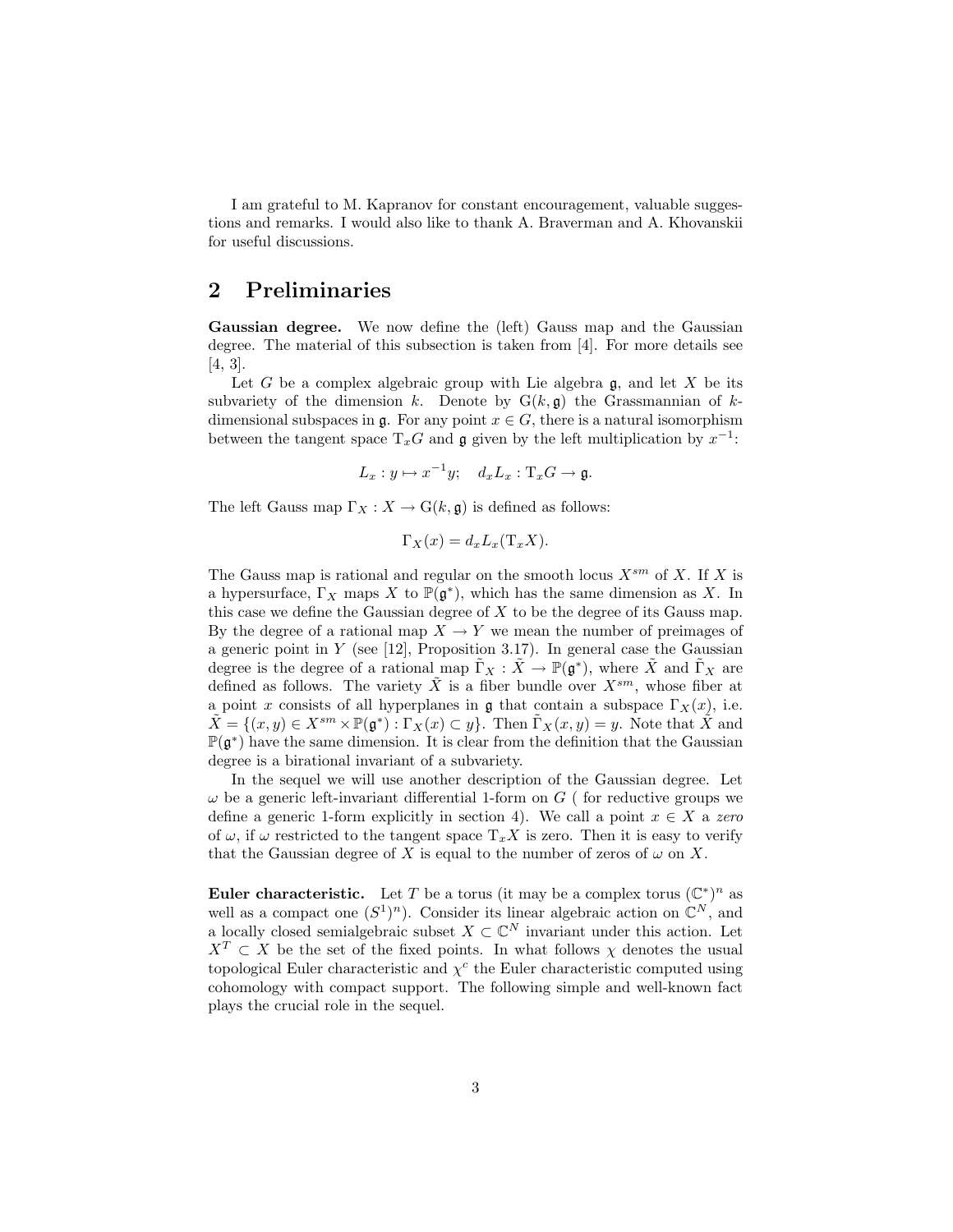I am grateful to M. Kapranov for constant encouragement, valuable suggestions and remarks. I would also like to thank A. Braverman and A. Khovanskii for useful discussions.

# 2 Preliminaries

Gaussian degree. We now define the (left) Gauss map and the Gaussian degree. The material of this subsection is taken from [4]. For more details see [4, 3].

Let G be a complex algebraic group with Lie algebra  $\mathfrak{g}$ , and let X be its subvariety of the dimension k. Denote by  $G(k, \mathfrak{g})$  the Grassmannian of kdimensional subspaces in  $\mathfrak{g}$ . For any point  $x \in G$ , there is a natural isomorphism between the tangent space  $T_xG$  and  $\mathfrak g$  given by the left multiplication by  $x^{-1}$ :

$$
L_x: y \mapsto x^{-1}y; \quad d_xL_x: \mathrm{T}_xG \to \mathfrak{g}.
$$

The left Gauss map  $\Gamma_X : X \to G(k, \mathfrak{g})$  is defined as follows:

$$
\Gamma_X(x) = d_x L_x(\mathcal{T}_x X).
$$

The Gauss map is rational and regular on the smooth locus  $X^{sm}$  of X. If X is a hypersurface,  $\Gamma_X$  maps X to  $\mathbb{P}(\mathfrak{g}^*)$ , which has the same dimension as X. In this case we define the Gaussian degree of X to be the degree of its Gauss map. By the degree of a rational map  $X \to Y$  we mean the number of preimages of a generic point in  $Y$  (see [12], Proposition 3.17). In general case the Gaussian degree is the degree of a rational map  $\tilde{\Gamma}_X : \tilde{X} \to \mathbb{P}(\tilde{\mathfrak{g}}^*)$ , where  $\tilde{X}$  and  $\tilde{\Gamma}_X$  are defined as follows. The variety  $\tilde{X}$  is a fiber bundle over  $X^{sm}$ , whose fiber at a point x consists of all hyperplanes in  $\mathfrak g$  that contain a subspace  $\Gamma_X(x)$ , i.e.  $\tilde{X} = \{(x, y) \in X^{sm} \times \mathbb{P}(\mathfrak{g}^*) : \Gamma_X(x) \subset y\}.$  Then  $\tilde{\Gamma}_X(x, y) = y$ . Note that  $\tilde{X}$  and  $\mathbb{P}(\mathfrak{g}^*)$  have the same dimension. It is clear from the definition that the Gaussian degree is a birational invariant of a subvariety.

In the sequel we will use another description of the Gaussian degree. Let  $\omega$  be a generic left-invariant differential 1-form on  $G$  (for reductive groups we define a generic 1-form explicitly in section 4). We call a point  $x \in X$  a zero of  $\omega$ , if  $\omega$  restricted to the tangent space  $T_xX$  is zero. Then it is easy to verify that the Gaussian degree of X is equal to the number of zeros of  $\omega$  on X.

**Euler characteristic.** Let T be a torus (it may be a complex torus  $(\mathbb{C}^*)^n$  as well as a compact one  $(S^1)^n$ ). Consider its linear algebraic action on  $\mathbb{C}^N$ , and a locally closed semialgebraic subset  $X \subset \mathbb{C}^N$  invariant under this action. Let  $X^T \subset X$  be the set of the fixed points. In what follows  $\chi$  denotes the usual topological Euler characteristic and  $\chi^c$  the Euler characteristic computed using cohomology with compact support. The following simple and well-known fact plays the crucial role in the sequel.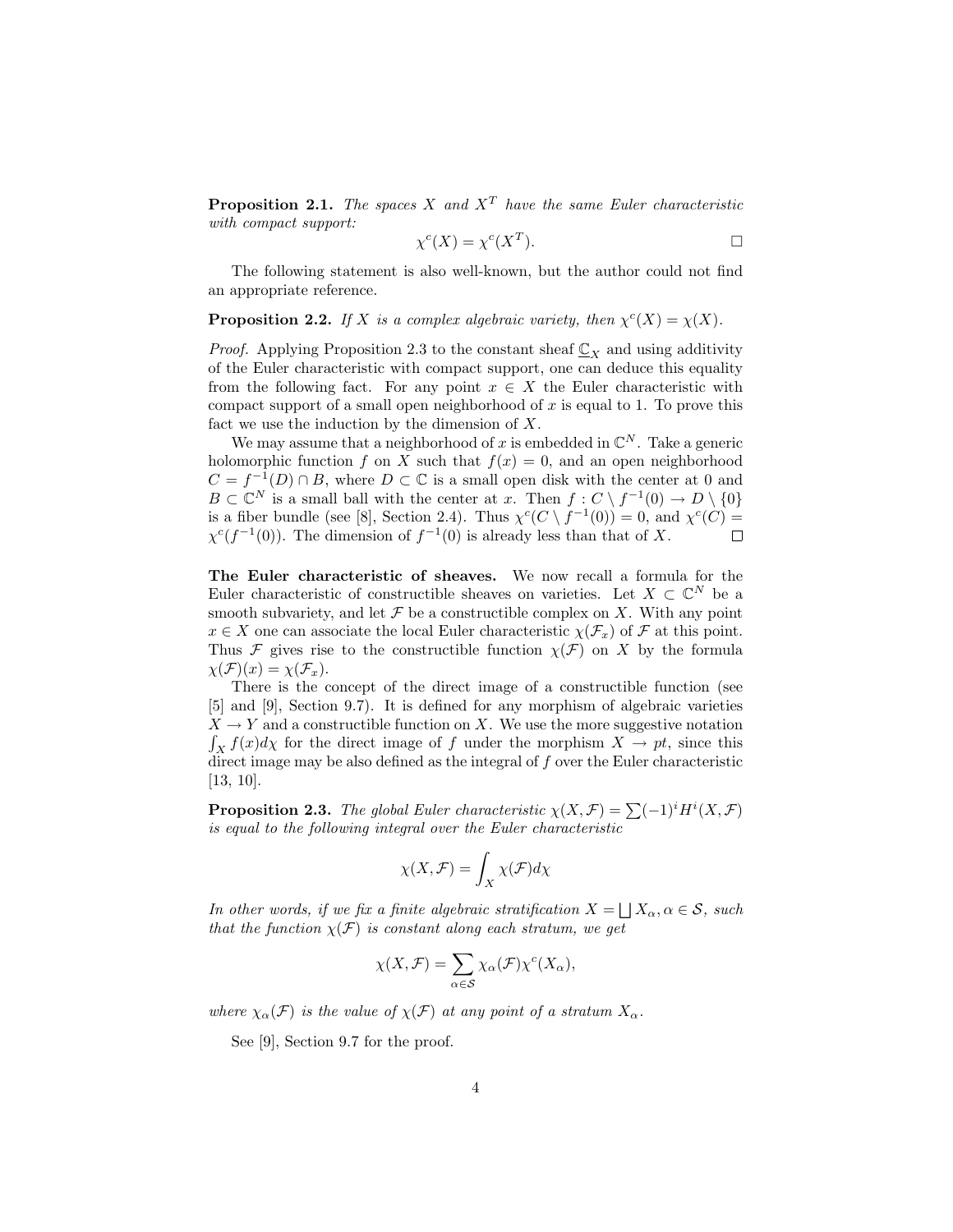**Proposition 2.1.** The spaces X and  $X<sup>T</sup>$  have the same Euler characteristic with compact support:

$$
\chi^c(X) = \chi^c(X^T). \qquad \qquad \Box
$$

The following statement is also well-known, but the author could not find an appropriate reference.

#### **Proposition 2.2.** If X is a complex algebraic variety, then  $\chi^c(X) = \chi(X)$ .

*Proof.* Applying Proposition 2.3 to the constant sheaf  $\mathbb{C}_X$  and using additivity of the Euler characteristic with compact support, one can deduce this equality from the following fact. For any point  $x \in X$  the Euler characteristic with compact support of a small open neighborhood of x is equal to 1. To prove this fact we use the induction by the dimension of  $X$ .

We may assume that a neighborhood of x is embedded in  $\mathbb{C}^N$ . Take a generic holomorphic function f on X such that  $f(x) = 0$ , and an open neighborhood  $C = f^{-1}(D) \cap B$ , where  $D \subset \mathbb{C}$  is a small open disk with the center at 0 and  $B \subset \mathbb{C}^N$  is a small ball with the center at x. Then  $f: C \setminus f^{-1}(0) \to D \setminus \{0\}$ is a fiber bundle (see [8], Section 2.4). Thus  $\chi^c(C \setminus f^{-1}(0)) = 0$ , and  $\chi^c(C) =$  $\chi^{c}(f^{-1}(0))$ . The dimension of  $f^{-1}(0)$  is already less than that of X.  $\Box$ 

The Euler characteristic of sheaves. We now recall a formula for the Euler characteristic of constructible sheaves on varieties. Let  $X \subset \mathbb{C}^N$  be a smooth subvariety, and let  $\mathcal F$  be a constructible complex on  $X$ . With any point  $x \in X$  one can associate the local Euler characteristic  $\chi(\mathcal{F}_x)$  of  $\mathcal F$  at this point. Thus F gives rise to the constructible function  $\chi(\mathcal{F})$  on X by the formula  $\chi(\mathcal{F})(x) = \chi(\mathcal{F}_x).$ 

There is the concept of the direct image of a constructible function (see [5] and [9], Section 9.7). It is defined for any morphism of algebraic varieties  $X \to Y$  and a constructible function on X. We use the more suggestive notation  $\int_X f(x)dx$  for the direct image of f under the morphism  $X \to pt$ , since this direct image may be also defined as the integral of  $f$  over the Euler characteristic [13, 10].

**Proposition 2.3.** The global Euler characteristic  $\chi(X, \mathcal{F}) = \sum (-1)^i H^i(X, \mathcal{F})$ is equal to the following integral over the Euler characteristic

$$
\chi(X,\mathcal{F})=\int_X \chi(\mathcal{F})d\chi
$$

In other words, if we fix a finite algebraic stratification  $X = \bigsqcup X_\alpha, \alpha \in \mathcal{S}$ , such that the function  $\chi(\mathcal{F})$  is constant along each stratum, we get

$$
\chi(X,\mathcal{F}) = \sum_{\alpha \in \mathcal{S}} \chi_{\alpha}(\mathcal{F}) \chi^{c}(X_{\alpha}),
$$

where  $\chi_{\alpha}(\mathcal{F})$  is the value of  $\chi(\mathcal{F})$  at any point of a stratum  $X_{\alpha}$ .

See [9], Section 9.7 for the proof.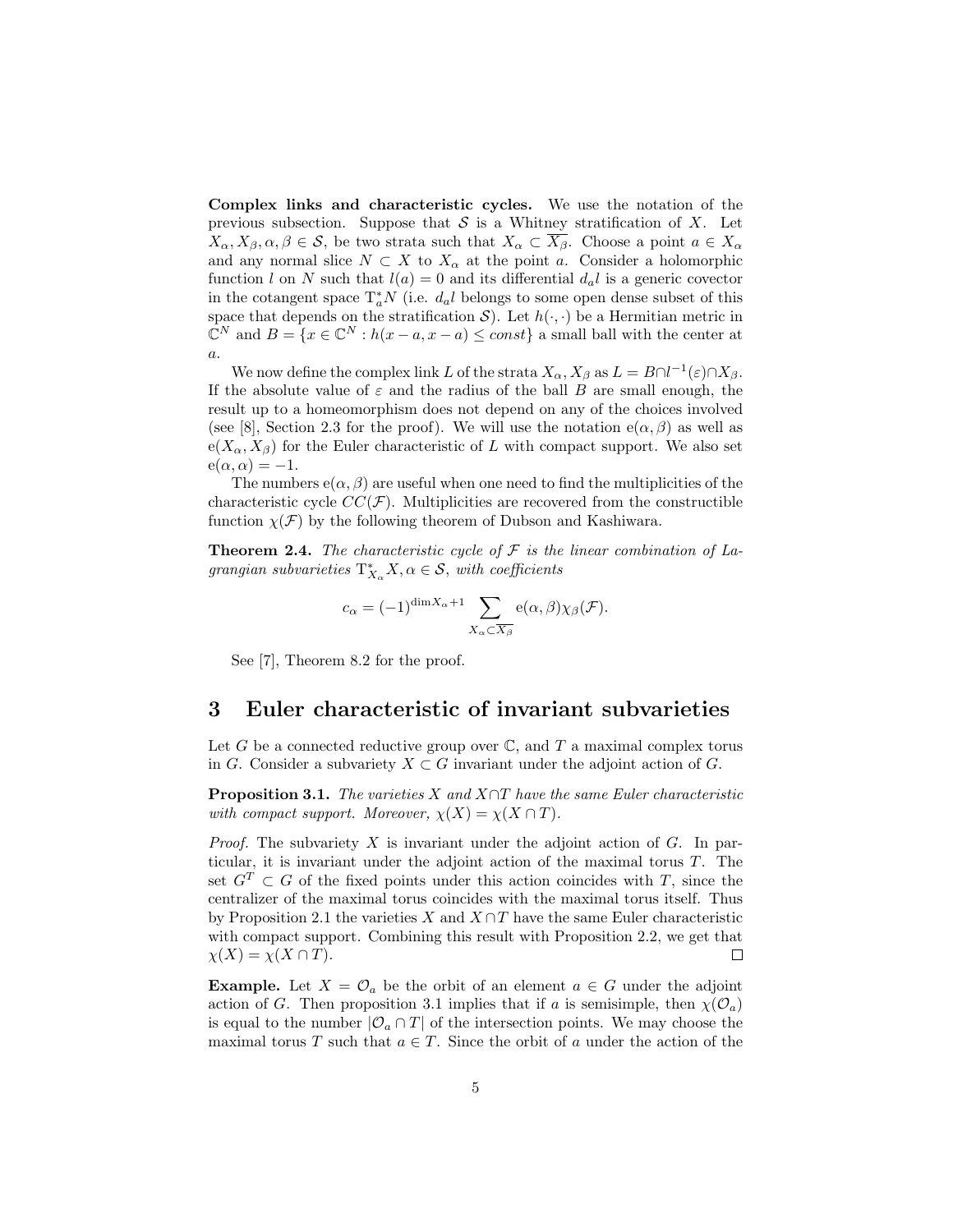Complex links and characteristic cycles. We use the notation of the previous subsection. Suppose that  $S$  is a Whitney stratification of X. Let  $X_{\alpha}, X_{\beta}, \alpha, \beta \in \mathcal{S}$ , be two strata such that  $X_{\alpha} \subset \overline{X_{\beta}}$ . Choose a point  $a \in X_{\alpha}$ and any normal slice  $N \subset X$  to  $X_\alpha$  at the point a. Consider a holomorphic function l on N such that  $l(a) = 0$  and its differential  $d_a l$  is a generic covector in the cotangent space  $\mathrm{T}_a^* N$  (i.e.  $d_a l$  belongs to some open dense subset of this space that depends on the stratification  $S$ ). Let  $h(\cdot, \cdot)$  be a Hermitian metric in  $\mathbb{C}^N$  and  $B = \{x \in \mathbb{C}^N : h(x - a, x - a) \leq const\}$  a small ball with the center at  $\boldsymbol{a}.$ 

We now define the complex link L of the strata  $X_{\alpha}$ ,  $X_{\beta}$  as  $L = B \cap l^{-1}(\varepsilon) \cap X_{\beta}$ . If the absolute value of  $\varepsilon$  and the radius of the ball B are small enough, the result up to a homeomorphism does not depend on any of the choices involved (see [8], Section 2.3 for the proof). We will use the notation  $e(\alpha, \beta)$  as well as  $e(X_{\alpha}, X_{\beta})$  for the Euler characteristic of L with compact support. We also set  $e(\alpha, \alpha) = -1.$ 

The numbers  $e(\alpha, \beta)$  are useful when one need to find the multiplicities of the characteristic cycle  $CC(\mathcal{F})$ . Multiplicities are recovered from the constructible function  $\chi(\mathcal{F})$  by the following theorem of Dubson and Kashiwara.

**Theorem 2.4.** The characteristic cycle of  $F$  is the linear combination of Lagrangian subvarieties  $T_{X_\alpha}^* X, \alpha \in \mathcal{S}$ , with coefficients

$$
c_{\alpha} = (-1)^{\dim X_{\alpha} + 1} \sum_{X_{\alpha} \subset \overline{X_{\beta}}} e(\alpha, \beta) \chi_{\beta}(\mathcal{F}).
$$

See [7], Theorem 8.2 for the proof.

#### 3 Euler characteristic of invariant subvarieties

Let G be a connected reductive group over  $\mathbb{C}$ , and T a maximal complex torus in G. Consider a subvariety  $X \subset G$  invariant under the adjoint action of G.

**Proposition 3.1.** The varieties X and  $X \cap T$  have the same Euler characteristic with compact support. Moreover,  $\chi(X) = \chi(X \cap T)$ .

*Proof.* The subvariety  $X$  is invariant under the adjoint action of  $G$ . In particular, it is invariant under the adjoint action of the maximal torus T. The set  $G<sup>T</sup> \subset G$  of the fixed points under this action coincides with T, since the centralizer of the maximal torus coincides with the maximal torus itself. Thus by Proposition 2.1 the varieties X and  $X \cap T$  have the same Euler characteristic with compact support. Combining this result with Proposition 2.2, we get that  $\chi(X) = \chi(X \cap T).$  $\Box$ 

**Example.** Let  $X = \mathcal{O}_a$  be the orbit of an element  $a \in G$  under the adjoint action of G. Then proposition 3.1 implies that if a is semisimple, then  $\chi(\mathcal{O}_a)$ is equal to the number  $|O_a \cap T|$  of the intersection points. We may choose the maximal torus T such that  $a \in T$ . Since the orbit of a under the action of the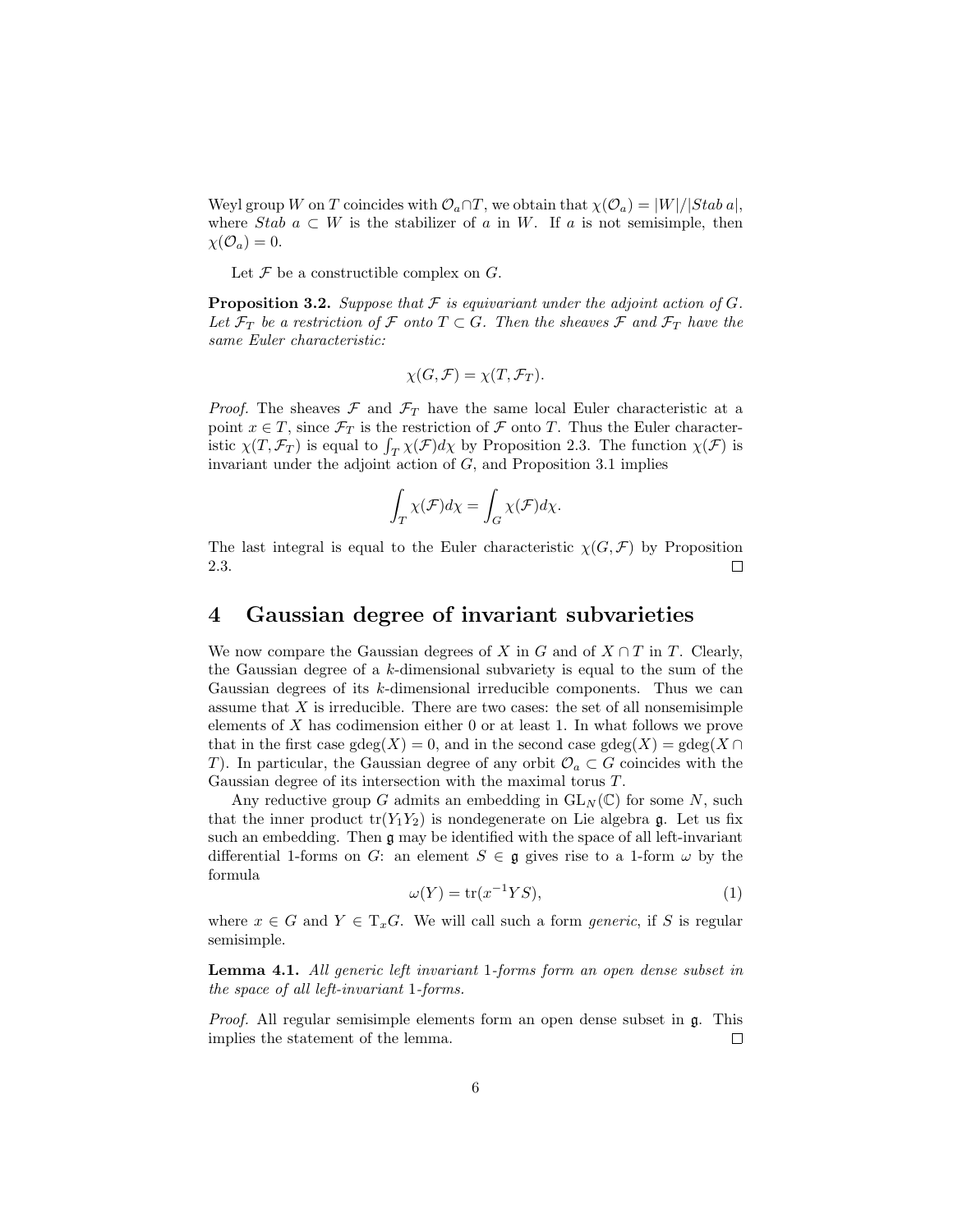Weyl group W on T coincides with  $\mathcal{O}_a \cap T$ , we obtain that  $\chi(\mathcal{O}_a) = |W|/|Stab a|$ , where Stab  $a \subset W$  is the stabilizer of a in W. If a is not semisimple, then  $\chi(\mathcal{O}_a)=0.$ 

Let  $\mathcal F$  be a constructible complex on  $G$ .

**Proposition 3.2.** Suppose that  $\mathcal F$  is equivariant under the adjoint action of  $G$ . Let  $\mathcal{F}_T$  be a restriction of F onto  $T \subset G$ . Then the sheaves F and  $\mathcal{F}_T$  have the same Euler characteristic:

$$
\chi(G,\mathcal{F})=\chi(T,\mathcal{F}_T).
$$

*Proof.* The sheaves  $\mathcal F$  and  $\mathcal F_T$  have the same local Euler characteristic at a point  $x \in T$ , since  $\mathcal{F}_T$  is the restriction of  $\mathcal F$  onto  $T$ . Thus the Euler characterpoint  $x \in I$ , since  $\mathcal{F}_T$  is the restriction of  $\mathcal F$  onto  $I$ . Thus the Euler characteristic  $\chi(T, \mathcal{F}_T)$  is equal to  $\int_T \chi(\mathcal{F}) d\chi$  by Proposition 2.3. The function  $\chi(\mathcal{F})$  is invariant under the adjoint action of  $G$ , and Proposition 3.1 implies

$$
\int_T \chi(\mathcal{F})d\chi = \int_G \chi(\mathcal{F})d\chi.
$$

The last integral is equal to the Euler characteristic  $\chi(G, \mathcal{F})$  by Proposition 2.3.  $\Box$ 

## 4 Gaussian degree of invariant subvarieties

We now compare the Gaussian degrees of X in G and of  $X \cap T$  in T. Clearly, the Gaussian degree of a k-dimensional subvariety is equal to the sum of the Gaussian degrees of its k-dimensional irreducible components. Thus we can assume that  $X$  is irreducible. There are two cases: the set of all nonsemisimple elements of  $X$  has codimension either 0 or at least 1. In what follows we prove that in the first case gdeg(X) = 0, and in the second case gdeg(X) =  $gdeg(X)$ T). In particular, the Gaussian degree of any orbit  $\mathcal{O}_a \subset G$  coincides with the Gaussian degree of its intersection with the maximal torus T.

Any reductive group G admits an embedding in  $GL_N(\mathbb{C})$  for some N, such that the inner product  $tr(Y_1Y_2)$  is nondegenerate on Lie algebra g. Let us fix such an embedding. Then g may be identified with the space of all left-invariant differential 1-forms on G: an element  $S \in \mathfrak{g}$  gives rise to a 1-form  $\omega$  by the formula

$$
\omega(Y) = \text{tr}(x^{-1}YS),\tag{1}
$$

where  $x \in G$  and  $Y \in T_xG$ . We will call such a form *generic*, if S is regular semisimple.

Lemma 4.1. All generic left invariant 1-forms form an open dense subset in the space of all left-invariant 1-forms.

Proof. All regular semisimple elements form an open dense subset in g. This implies the statement of the lemma.  $\Box$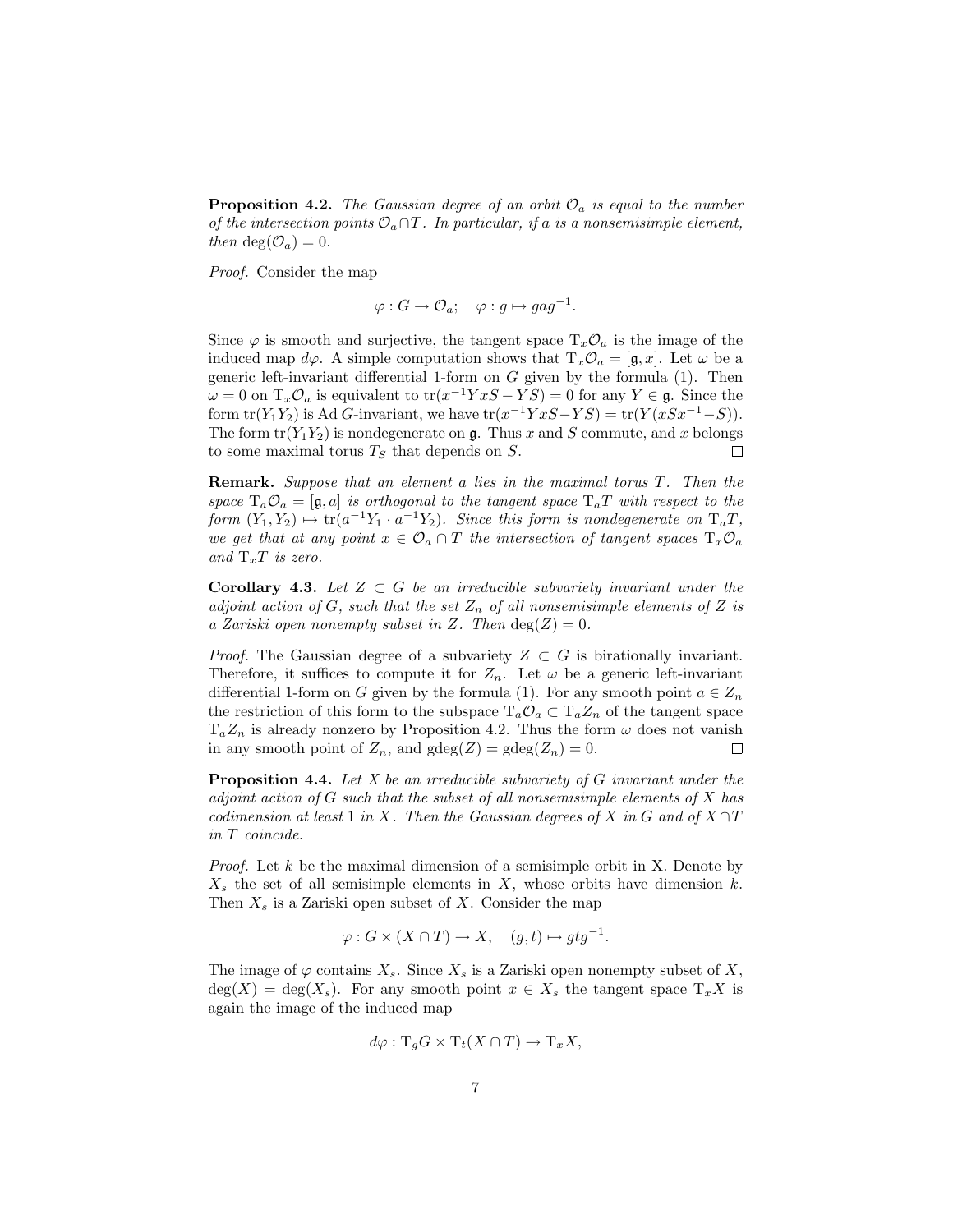**Proposition 4.2.** The Gaussian degree of an orbit  $\mathcal{O}_a$  is equal to the number of the intersection points  $\mathcal{O}_a \cap T$ . In particular, if a is a nonsemisimple element, then  $deg(\mathcal{O}_a)=0$ .

Proof. Consider the map

$$
\varphi: G \to \mathcal{O}_a; \quad \varphi: g \mapsto gag^{-1}.
$$

Since  $\varphi$  is smooth and surjective, the tangent space  $T_x \mathcal{O}_a$  is the image of the induced map  $d\varphi$ . A simple computation shows that  $T_x\mathcal{O}_a = [\mathfrak{g},x]$ . Let  $\omega$  be a generic left-invariant differential 1-form on  $G$  given by the formula  $(1)$ . Then  $\omega = 0$  on  $T_x \mathcal{O}_a$  is equivalent to  $tr(x^{-1}Y xS - YS) = 0$  for any  $Y \in \mathfrak{g}$ . Since the form  $tr(Y_1Y_2)$  is Ad G-invariant, we have  $tr(x^{-1}YxS - YS) = tr(Y(xSx^{-1} - S)).$ The form  $tr(Y_1Y_2)$  is nondegenerate on g. Thus x and S commute, and x belongs to some maximal torus  $T<sub>S</sub>$  that depends on  $S$ .  $\Box$ 

Remark. Suppose that an element a lies in the maximal torus T. Then the space  $T_a \mathcal{O}_a = [\mathfrak{g}, a]$  is orthogonal to the tangent space  $T_a T$  with respect to the form  $(Y_1, Y_2) \mapsto \text{tr}(a^{-1}Y_1 \cdot a^{-1}Y_2)$ . Since this form is nondegenerate on  $T_aT$ , we get that at any point  $x \in \mathcal{O}_a \cap T$  the intersection of tangent spaces  $T_x \mathcal{O}_a$ and  $T_xT$  is zero.

**Corollary 4.3.** Let  $Z \subset G$  be an irreducible subvariety invariant under the adjoint action of G, such that the set  $Z_n$  of all nonsemisimple elements of Z is a Zariski open nonempty subset in Z. Then  $deg(Z) = 0$ .

*Proof.* The Gaussian degree of a subvariety  $Z \subset G$  is birationally invariant. Therefore, it suffices to compute it for  $Z_n$ . Let  $\omega$  be a generic left-invariant differential 1-form on G given by the formula (1). For any smooth point  $a \in Z_n$ the restriction of this form to the subspace  $T_a \mathcal{O}_a \subset T_a Z_n$  of the tangent space  $T_aZ_n$  is already nonzero by Proposition 4.2. Thus the form  $\omega$  does not vanish in any smooth point of  $Z_n$ , and  $gdeg(Z) = gdeg(Z_n) = 0$ .  $\Box$ 

**Proposition 4.4.** Let  $X$  be an irreducible subvariety of  $G$  invariant under the adjoint action of  $G$  such that the subset of all nonsemisimple elements of  $X$  has codimension at least 1 in X. Then the Gaussian degrees of X in G and of  $X \cap T$ in T coincide.

*Proof.* Let  $k$  be the maximal dimension of a semisimple orbit in X. Denote by  $X<sub>s</sub>$  the set of all semisimple elements in X, whose orbits have dimension k. Then  $X_s$  is a Zariski open subset of X. Consider the map

$$
\varphi: G \times (X \cap T) \to X, \quad (g, t) \mapsto gtg^{-1}.
$$

The image of  $\varphi$  contains  $X_s$ . Since  $X_s$  is a Zariski open nonempty subset of  $X_s$ ,  $deg(X) = deg(X_s)$ . For any smooth point  $x \in X_s$  the tangent space  $T_x X$  is again the image of the induced map

$$
d\varphi: \mathrm{T}_g G \times \mathrm{T}_t (X \cap T) \to \mathrm{T}_x X,
$$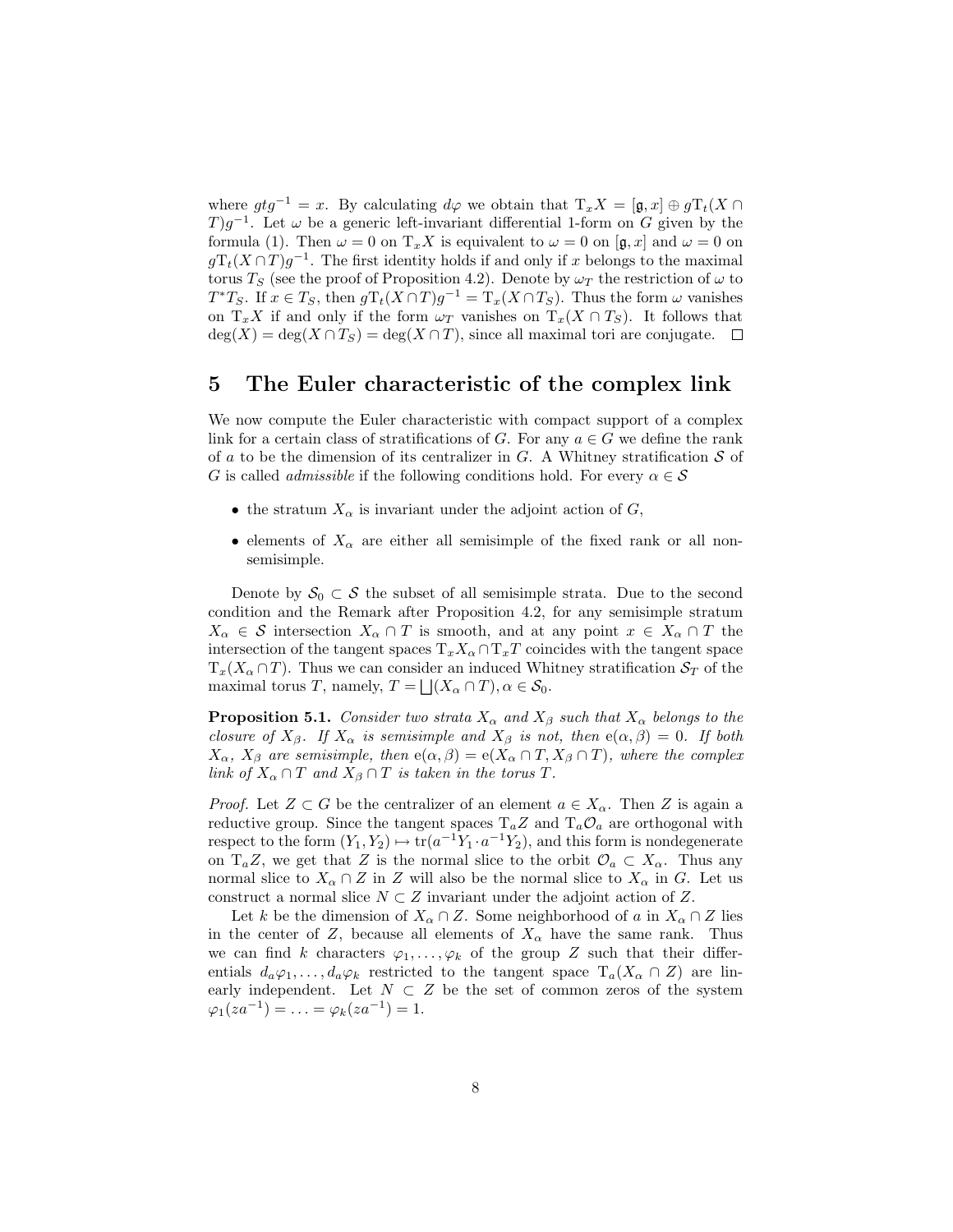where  $gtg^{-1} = x$ . By calculating  $d\varphi$  we obtain that  $T_xX = [\mathfrak{g}, x] \oplus gT_t(X \cap$ T)g<sup>-1</sup>. Let  $\omega$  be a generic left-invariant differential 1-form on G given by the formula (1). Then  $\omega = 0$  on  $T_x X$  is equivalent to  $\omega = 0$  on  $[\mathfrak{g}, x]$  and  $\omega = 0$  on  $gT_t(X \cap T)g^{-1}$ . The first identity holds if and only if x belongs to the maximal torus  $T_S$  (see the proof of Proposition 4.2). Denote by  $\omega_T$  the restriction of  $\omega$  to  $T^*T_S$ . If  $x \in T_S$ , then  $gT_t(X \cap T)g^{-1} = T_x(X \cap T_S)$ . Thus the form  $\omega$  vanishes on  $T_xX$  if and only if the form  $\omega_T$  vanishes on  $T_x(X \cap T_S)$ . It follows that  $deg(X) = deg(X \cap T_S) = deg(X \cap T)$ , since all maximal tori are conjugate.  $\Box$ 

### 5 The Euler characteristic of the complex link

We now compute the Euler characteristic with compact support of a complex link for a certain class of stratifications of G. For any  $a \in G$  we define the rank of a to be the dimension of its centralizer in  $G$ . A Whitney stratification  $S$  of G is called *admissible* if the following conditions hold. For every  $\alpha \in \mathcal{S}$ 

- the stratum  $X_{\alpha}$  is invariant under the adjoint action of G,
- elements of  $X_\alpha$  are either all semisimple of the fixed rank or all nonsemisimple.

Denote by  $S_0 \subset S$  the subset of all semisimple strata. Due to the second condition and the Remark after Proposition 4.2, for any semisimple stratum  $X_\alpha \in \mathcal{S}$  intersection  $X_\alpha \cap T$  is smooth, and at any point  $x \in X_\alpha \cap T$  the intersection of the tangent spaces  $T_xX_\alpha \cap T_xT$  coincides with the tangent space  $T_x(X_\alpha \cap T)$ . Thus we can consider an induced Whitney stratification  $S_T$  of the maximal torus T, namely,  $T = \bigsqcup (X_\alpha \cap T), \alpha \in \mathcal{S}_0$ .

**Proposition 5.1.** Consider two strata  $X_\alpha$  and  $X_\beta$  such that  $X_\alpha$  belongs to the closure of  $X_{\beta}$ . If  $X_{\alpha}$  is semisimple and  $X_{\beta}$  is not, then  $e(\alpha, \beta) = 0$ . If both  $X_{\alpha}$ ,  $X_{\beta}$  are semisimple, then  $e(\alpha, \beta) = e(X_{\alpha} \cap T, X_{\beta} \cap T)$ , where the complex link of  $X_\alpha \cap T$  and  $X_\beta \cap T$  is taken in the torus T.

*Proof.* Let  $Z \subset G$  be the centralizer of an element  $a \in X_\alpha$ . Then Z is again a reductive group. Since the tangent spaces  $T_a Z$  and  $T_a O_a$  are orthogonal with respect to the form  $(Y_1, Y_2) \mapsto \text{tr}(a^{-1}Y_1 \cdot a^{-1}Y_2)$ , and this form is nondegenerate on  $T_aZ$ , we get that Z is the normal slice to the orbit  $\mathcal{O}_a \subset X_\alpha$ . Thus any normal slice to  $X_\alpha \cap Z$  in Z will also be the normal slice to  $X_\alpha$  in G. Let us construct a normal slice  $N \subset Z$  invariant under the adjoint action of Z.

Let k be the dimension of  $X_\alpha \cap Z$ . Some neighborhood of a in  $X_\alpha \cap Z$  lies in the center of Z, because all elements of  $X_\alpha$  have the same rank. Thus we can find k characters  $\varphi_1, \ldots, \varphi_k$  of the group Z such that their differentials  $d_a\varphi_1,\ldots,d_a\varphi_k$  restricted to the tangent space  $T_a(X_\alpha \cap Z)$  are linearly independent. Let  $N \subset Z$  be the set of common zeros of the system  $\varphi_1(za^{-1}) = \ldots = \varphi_k(za^{-1}) = 1.$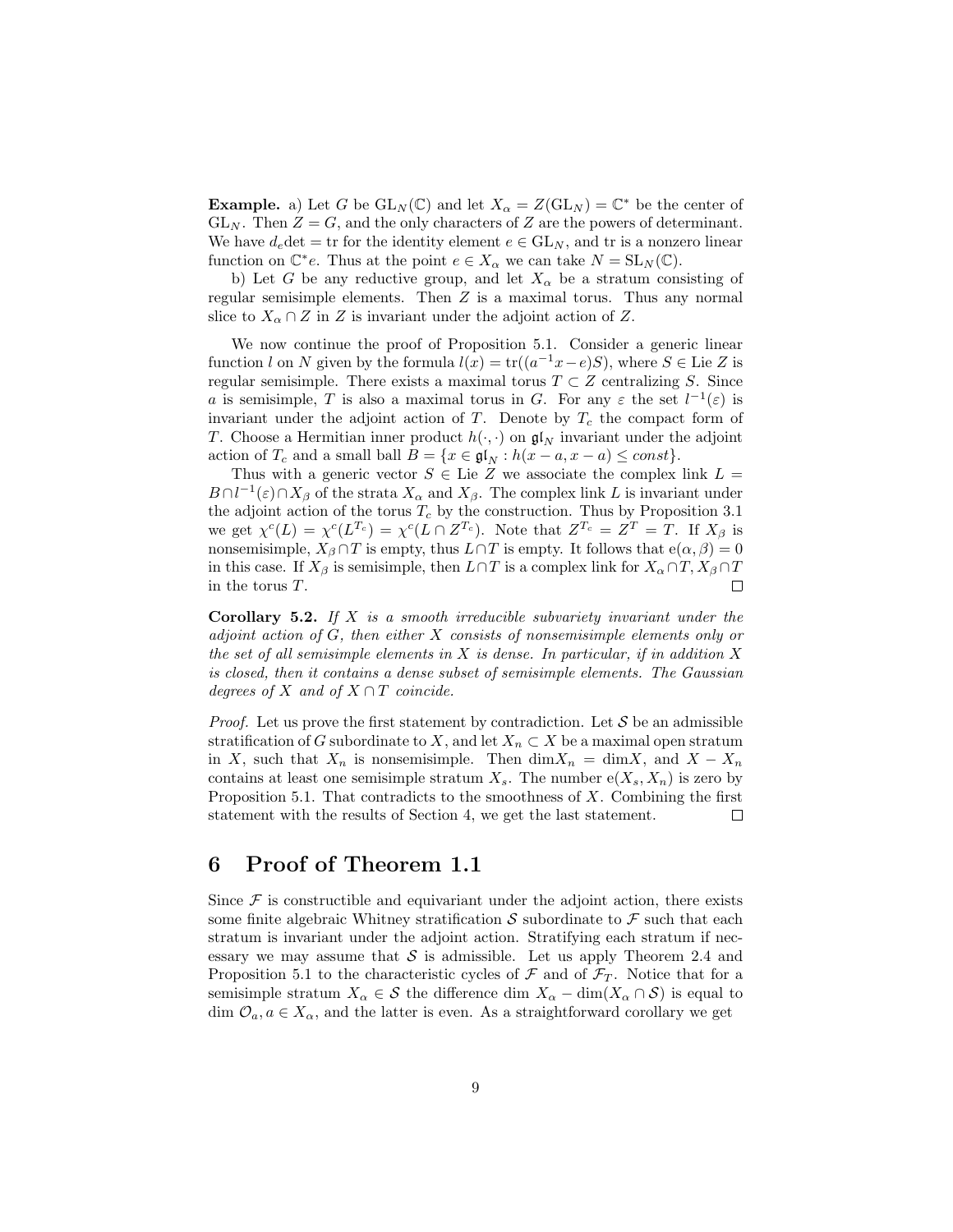**Example.** a) Let G be  $GL_N(\mathbb{C})$  and let  $X_\alpha = Z(GL_N) = \mathbb{C}^*$  be the center of  $GL_N$ . Then  $Z = G$ , and the only characters of Z are the powers of determinant. We have  $d_e \det = \text{tr}$  for the identity element  $e \in GL_N$ , and tr is a nonzero linear function on  $\mathbb{C}^*e$ . Thus at the point  $e \in X_\alpha$  we can take  $N = SL_N(\mathbb{C})$ .

b) Let G be any reductive group, and let  $X_\alpha$  be a stratum consisting of regular semisimple elements. Then Z is a maximal torus. Thus any normal slice to  $X_\alpha \cap Z$  in Z is invariant under the adjoint action of Z.

We now continue the proof of Proposition 5.1. Consider a generic linear function l on N given by the formula  $l(x) = \text{tr}((a^{-1}x-e)S)$ , where  $S \in \text{Lie } Z$  is regular semisimple. There exists a maximal torus  $T \subset Z$  centralizing S. Since a is semisimple, T is also a maximal torus in G. For any  $\varepsilon$  the set  $l^{-1}(\varepsilon)$  is invariant under the adjoint action of  $T$ . Denote by  $T_c$  the compact form of T. Choose a Hermitian inner product  $h(\cdot, \cdot)$  on  $\mathfrak{gl}_N$  invariant under the adjoint action of  $T_c$  and a small ball  $B = \{x \in \mathfrak{gl}_N : h(x - a, x - a) \leq const\}.$ 

Thus with a generic vector  $S \in$  Lie Z we associate the complex link  $L =$  $B \cap l^{-1}(\varepsilon) \cap X_\beta$  of the strata  $X_\alpha$  and  $X_\beta$ . The complex link L is invariant under the adjoint action of the torus  $T_c$  by the construction. Thus by Proposition 3.1 we get  $\chi^c(L) = \chi^c(L^{T_c}) = \chi^c(L \cap Z^{T_c})$ . Note that  $Z^{T_c} = Z^T = T$ . If  $X_\beta$  is nonsemisimple,  $X_{\beta} \cap T$  is empty, thus  $L \cap T$  is empty. It follows that  $e(\alpha, \beta) = 0$ in this case. If  $X_\beta$  is semisimple, then  $L \cap T$  is a complex link for  $X_\alpha \cap T$ ,  $X_\beta \cap T$ in the torus T.  $\Box$ 

**Corollary 5.2.** If  $X$  is a smooth irreducible subvariety invariant under the adjoint action of G, then either X consists of nonsemisimple elements only or the set of all semisimple elements in  $X$  is dense. In particular, if in addition  $X$ is closed, then it contains a dense subset of semisimple elements. The Gaussian degrees of X and of  $X \cap T$  coincide.

*Proof.* Let us prove the first statement by contradiction. Let  $S$  be an admissible stratification of G subordinate to X, and let  $X_n \subset X$  be a maximal open stratum in X, such that  $X_n$  is nonsemisimple. Then  $\dim X_n = \dim X$ , and  $X - X_n$ contains at least one semisimple stratum  $X_s$ . The number  $e(X_s, X_n)$  is zero by Proposition 5.1. That contradicts to the smoothness of  $X$ . Combining the first statement with the results of Section 4, we get the last statement.  $\Box$ 

## 6 Proof of Theorem 1.1

Since  $\mathcal F$  is constructible and equivariant under the adjoint action, there exists some finite algebraic Whitney stratification  $\mathcal S$  subordinate to  $\mathcal F$  such that each stratum is invariant under the adjoint action. Stratifying each stratum if necessary we may assume that  $S$  is admissible. Let us apply Theorem 2.4 and Proposition 5.1 to the characteristic cycles of  $\mathcal F$  and of  $\mathcal F_T$ . Notice that for a semisimple stratum  $X_\alpha \in \mathcal{S}$  the difference dim  $X_\alpha$  – dim( $X_\alpha \cap \mathcal{S}$ ) is equal to dim  $\mathcal{O}_a, a \in X_\alpha$ , and the latter is even. As a straightforward corollary we get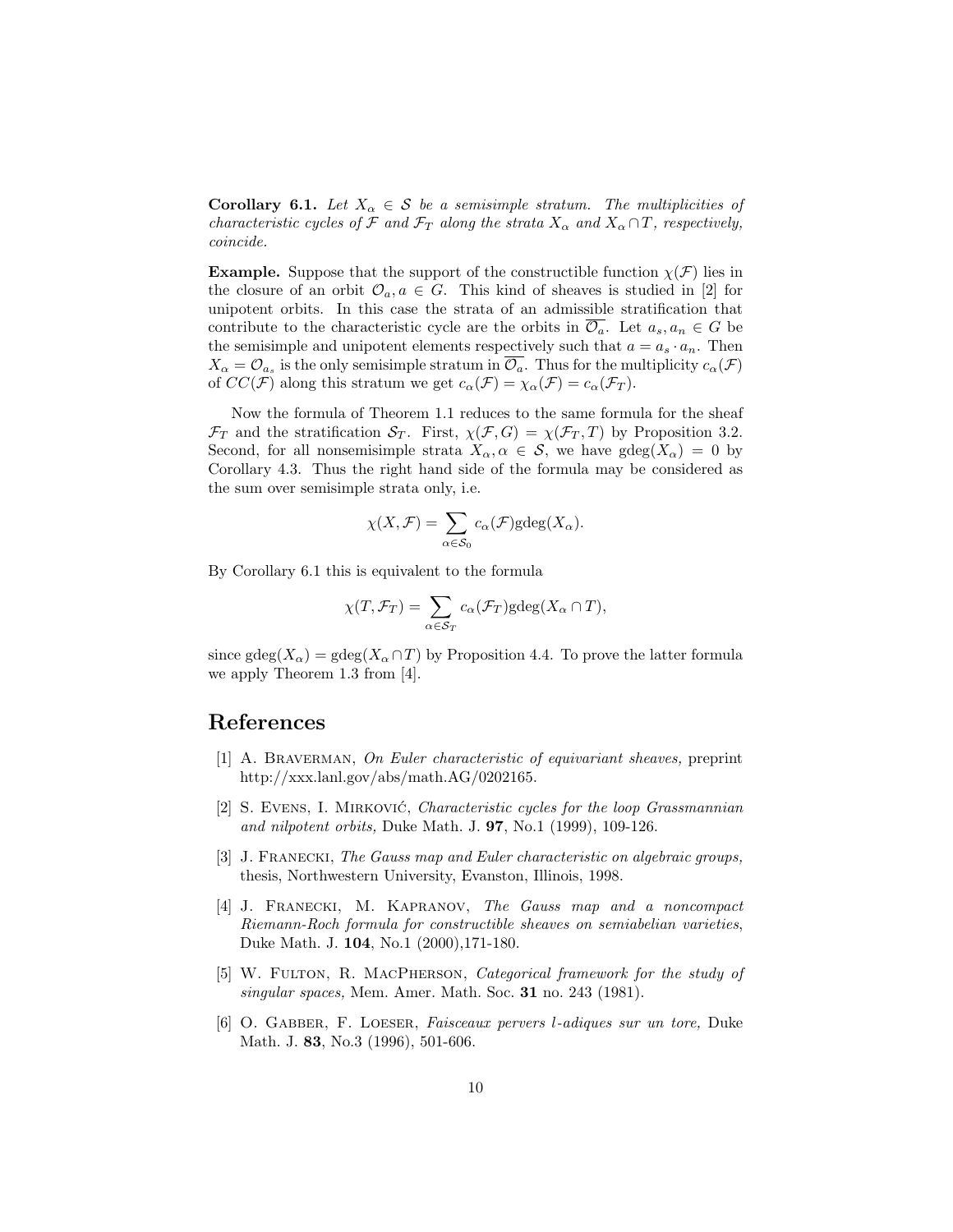**Corollary 6.1.** Let  $X_{\alpha} \in \mathcal{S}$  be a semisimple stratum. The multiplicities of characteristic cycles of F and  $\mathcal{F}_T$  along the strata  $X_\alpha$  and  $X_\alpha \cap T$ , respectively, coincide.

**Example.** Suppose that the support of the constructible function  $\chi(\mathcal{F})$  lies in the closure of an orbit  $\mathcal{O}_a, a \in G$ . This kind of sheaves is studied in [2] for unipotent orbits. In this case the strata of an admissible stratification that contribute to the characteristic cycle are the orbits in  $\overline{\mathcal{O}_a}$ . Let  $a_s, a_n \in G$  be the semisimple and unipotent elements respectively such that  $a = a_s \cdot a_n$ . Then  $X_{\alpha} = \mathcal{O}_{a_s}$  is the only semisimple stratum in  $\overline{\mathcal{O}_a}$ . Thus for the multiplicity  $c_{\alpha}(\mathcal{F})$ of  $CC(\mathcal{F})$  along this stratum we get  $c_{\alpha}(\mathcal{F}) = \chi_{\alpha}(\mathcal{F}) = c_{\alpha}(\mathcal{F})$ .

Now the formula of Theorem 1.1 reduces to the same formula for the sheaf  $\mathcal{F}_T$  and the stratification  $\mathcal{S}_T$ . First,  $\chi(\mathcal{F}, G) = \chi(\mathcal{F}_T, T)$  by Proposition 3.2. Second, for all nonsemisimple strata  $X_{\alpha}, \alpha \in \mathcal{S}$ , we have  $gdeg(X_{\alpha}) = 0$  by Corollary 4.3. Thus the right hand side of the formula may be considered as the sum over semisimple strata only, i.e.

$$
\chi(X,\mathcal{F}) = \sum_{\alpha \in \mathcal{S}_0} c_{\alpha}(\mathcal{F}) \text{gdeg}(X_{\alpha}).
$$

By Corollary 6.1 this is equivalent to the formula

$$
\chi(T, \mathcal{F}_T) = \sum_{\alpha \in \mathcal{S}_T} c_{\alpha}(\mathcal{F}_T) \text{gdeg}(X_{\alpha} \cap T),
$$

since gdeg( $X_{\alpha}$ ) = gdeg( $X_{\alpha} \cap T$ ) by Proposition 4.4. To prove the latter formula we apply Theorem 1.3 from [4].

#### References

- [1] A. BRAVERMAN, On Euler characteristic of equivariant sheaves, preprint http://xxx.lanl.gov/abs/math.AG/0202165.
- [2] S. EVENS, I. MIRKOVIĆ, *Characteristic cycles for the loop Grassmannian* and nilpotent orbits, Duke Math. J. **97**, No.1 (1999), 109-126.
- [3] J. Franecki, The Gauss map and Euler characteristic on algebraic groups, thesis, Northwestern University, Evanston, Illinois, 1998.
- [4] J. FRANECKI, M. KAPRANOV, The Gauss map and a noncompact Riemann-Roch formula for constructible sheaves on semiabelian varieties, Duke Math. J. 104, No.1 (2000),171-180.
- [5] W. FULTON, R. MACPHERSON, *Categorical framework for the study of* singular spaces, Mem. Amer. Math. Soc. 31 no. 243 (1981).
- [6] O. Gabber, F. Loeser, Faisceaux pervers l-adiques sur un tore, Duke Math. J. 83, No.3 (1996), 501-606.